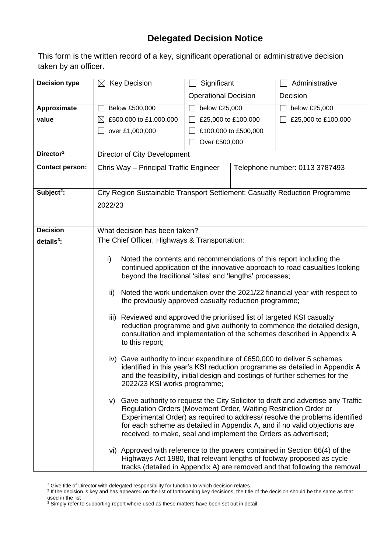## **Delegated Decision Notice**

This form is the written record of a key, significant operational or administrative decision taken by an officer.

| <b>Decision type</b>   | $\boxtimes$ Key Decision                                                                                                                                                                                                                                               | Significant                 |  | Administrative                                                                                                                                                                                                                                 |  |  |
|------------------------|------------------------------------------------------------------------------------------------------------------------------------------------------------------------------------------------------------------------------------------------------------------------|-----------------------------|--|------------------------------------------------------------------------------------------------------------------------------------------------------------------------------------------------------------------------------------------------|--|--|
|                        |                                                                                                                                                                                                                                                                        | <b>Operational Decision</b> |  | Decision                                                                                                                                                                                                                                       |  |  |
| Approximate            | Below £500,000                                                                                                                                                                                                                                                         | below £25,000               |  | below £25,000                                                                                                                                                                                                                                  |  |  |
| value                  | £500,000 to £1,000,000<br>$\boxtimes$                                                                                                                                                                                                                                  | £25,000 to £100,000         |  | £25,000 to £100,000                                                                                                                                                                                                                            |  |  |
|                        | over £1,000,000                                                                                                                                                                                                                                                        | £100,000 to £500,000        |  |                                                                                                                                                                                                                                                |  |  |
|                        |                                                                                                                                                                                                                                                                        | Over £500,000               |  |                                                                                                                                                                                                                                                |  |  |
| Director <sup>1</sup>  | Director of City Development                                                                                                                                                                                                                                           |                             |  |                                                                                                                                                                                                                                                |  |  |
| <b>Contact person:</b> | Chris Way - Principal Traffic Engineer                                                                                                                                                                                                                                 |                             |  | Telephone number: 0113 3787493                                                                                                                                                                                                                 |  |  |
|                        |                                                                                                                                                                                                                                                                        |                             |  |                                                                                                                                                                                                                                                |  |  |
| Subject <sup>2</sup> : | City Region Sustainable Transport Settlement: Casualty Reduction Programme                                                                                                                                                                                             |                             |  |                                                                                                                                                                                                                                                |  |  |
|                        | 2022/23                                                                                                                                                                                                                                                                |                             |  |                                                                                                                                                                                                                                                |  |  |
|                        |                                                                                                                                                                                                                                                                        |                             |  |                                                                                                                                                                                                                                                |  |  |
| <b>Decision</b>        | What decision has been taken?                                                                                                                                                                                                                                          |                             |  |                                                                                                                                                                                                                                                |  |  |
| $details3$ :           | The Chief Officer, Highways & Transportation:                                                                                                                                                                                                                          |                             |  |                                                                                                                                                                                                                                                |  |  |
|                        |                                                                                                                                                                                                                                                                        |                             |  |                                                                                                                                                                                                                                                |  |  |
|                        | Noted the contents and recommendations of this report including the<br>i)<br>continued application of the innovative approach to road casualties looking                                                                                                               |                             |  |                                                                                                                                                                                                                                                |  |  |
|                        | beyond the traditional 'sites' and 'lengths' processes;                                                                                                                                                                                                                |                             |  |                                                                                                                                                                                                                                                |  |  |
|                        | Noted the work undertaken over the 2021/22 financial year with respect to<br>ii)<br>the previously approved casualty reduction programme;                                                                                                                              |                             |  |                                                                                                                                                                                                                                                |  |  |
|                        | iii) Reviewed and approved the prioritised list of targeted KSI casualty<br>reduction programme and give authority to commence the detailed design,<br>consultation and implementation of the schemes described in Appendix A<br>to this report;                       |                             |  |                                                                                                                                                                                                                                                |  |  |
|                        | iv) Gave authority to incur expenditure of £650,000 to deliver 5 schemes<br>identified in this year's KSI reduction programme as detailed in Appendix A<br>and the feasibility, initial design and costings of further schemes for the<br>2022/23 KSI works programme; |                             |  |                                                                                                                                                                                                                                                |  |  |
|                        | Regulation Orders (Movement Order, Waiting Restriction Order or<br>received, to make, seal and implement the Orders as advertised;                                                                                                                                     |                             |  | v) Gave authority to request the City Solicitor to draft and advertise any Traffic<br>Experimental Order) as required to address/ resolve the problems identified<br>for each scheme as detailed in Appendix A, and if no valid objections are |  |  |
|                        | vi) Approved with reference to the powers contained in Section 66(4) of the                                                                                                                                                                                            |                             |  | Highways Act 1980, that relevant lengths of footway proposed as cycle<br>tracks (detailed in Appendix A) are removed and that following the removal                                                                                            |  |  |

<sup>&</sup>lt;sup>1</sup> Give title of Director with delegated responsibility for function to which decision relates.<br><sup>2</sup> If the decision is key and has appeared on the list of forthcoming key decisions, the title of the decision should be the used in the list

 $3$  Simply refer to supporting report where used as these matters have been set out in detail.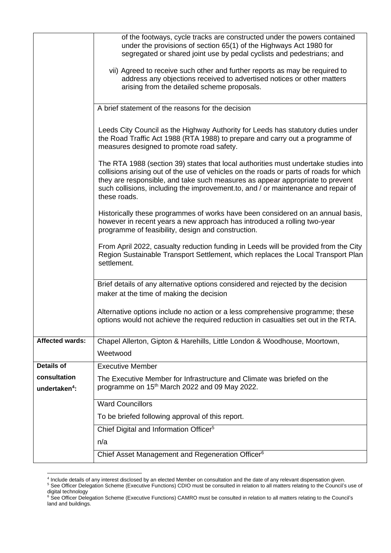|                           | n/a<br>Chief Asset Management and Regeneration Officer <sup>6</sup>                                                                                                                                                                                                                                                                                                 |  |  |  |  |
|---------------------------|---------------------------------------------------------------------------------------------------------------------------------------------------------------------------------------------------------------------------------------------------------------------------------------------------------------------------------------------------------------------|--|--|--|--|
|                           | To be briefed following approval of this report.<br>Chief Digital and Information Officer <sup>5</sup>                                                                                                                                                                                                                                                              |  |  |  |  |
|                           | <b>Ward Councillors</b>                                                                                                                                                                                                                                                                                                                                             |  |  |  |  |
| undertaken <sup>4</sup> : | programme on 15 <sup>th</sup> March 2022 and 09 May 2022.                                                                                                                                                                                                                                                                                                           |  |  |  |  |
| consultation              | The Executive Member for Infrastructure and Climate was briefed on the                                                                                                                                                                                                                                                                                              |  |  |  |  |
| <b>Details of</b>         | <b>Executive Member</b>                                                                                                                                                                                                                                                                                                                                             |  |  |  |  |
| <b>Affected wards:</b>    | Chapel Allerton, Gipton & Harehills, Little London & Woodhouse, Moortown,<br>Weetwood                                                                                                                                                                                                                                                                               |  |  |  |  |
|                           | Alternative options include no action or a less comprehensive programme; these<br>options would not achieve the required reduction in casualties set out in the RTA.                                                                                                                                                                                                |  |  |  |  |
|                           | From April 2022, casualty reduction funding in Leeds will be provided from the City<br>Region Sustainable Transport Settlement, which replaces the Local Transport Plan<br>settlement.<br>Brief details of any alternative options considered and rejected by the decision<br>maker at the time of making the decision                                              |  |  |  |  |
|                           |                                                                                                                                                                                                                                                                                                                                                                     |  |  |  |  |
|                           | Historically these programmes of works have been considered on an annual basis,<br>however in recent years a new approach has introduced a rolling two-year<br>programme of feasibility, design and construction.                                                                                                                                                   |  |  |  |  |
|                           | The RTA 1988 (section 39) states that local authorities must undertake studies into<br>collisions arising out of the use of vehicles on the roads or parts of roads for which<br>they are responsible, and take such measures as appear appropriate to prevent<br>such collisions, including the improvement.to, and / or maintenance and repair of<br>these roads. |  |  |  |  |
|                           | Leeds City Council as the Highway Authority for Leeds has statutory duties under<br>the Road Traffic Act 1988 (RTA 1988) to prepare and carry out a programme of<br>measures designed to promote road safety.                                                                                                                                                       |  |  |  |  |
|                           | A brief statement of the reasons for the decision                                                                                                                                                                                                                                                                                                                   |  |  |  |  |
|                           | vii) Agreed to receive such other and further reports as may be required to<br>address any objections received to advertised notices or other matters<br>arising from the detailed scheme proposals.                                                                                                                                                                |  |  |  |  |
|                           | of the footways, cycle tracks are constructed under the powers contained<br>under the provisions of section 65(1) of the Highways Act 1980 for<br>segregated or shared joint use by pedal cyclists and pedestrians; and                                                                                                                                             |  |  |  |  |

<sup>4</sup> Include details of any interest disclosed by an elected Member on consultation and the date of any relevant dispensation given.

<sup>&</sup>lt;sup>5</sup> See Officer Delegation Scheme (Executive Functions) CDIO must be consulted in relation to all matters relating to the Council's use of digital technology

<sup>&</sup>lt;sup>6</sup> See Officer Delegation Scheme (Executive Functions) CAMRO must be consulted in relation to all matters relating to the Council's land and buildings.